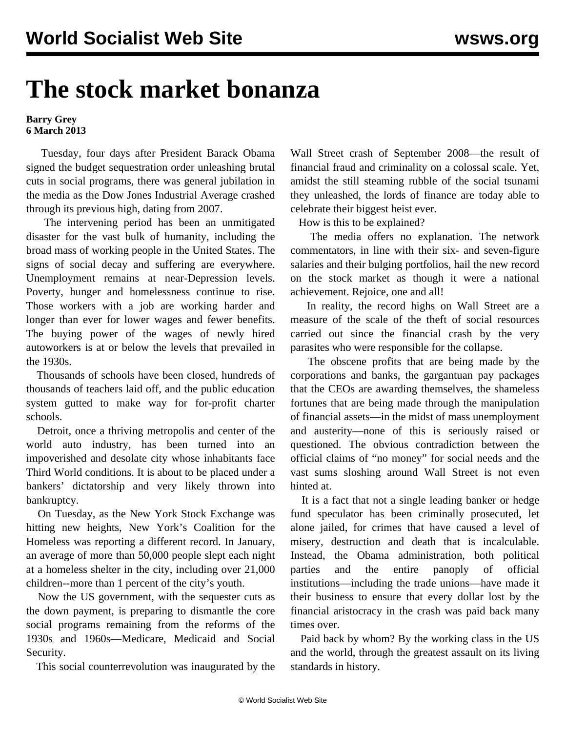## **The stock market bonanza**

## **Barry Grey 6 March 2013**

 Tuesday, four days after President Barack Obama signed the budget sequestration order unleashing brutal cuts in social programs, there was general jubilation in the media as the Dow Jones Industrial Average crashed through its previous high, dating from 2007.

 The intervening period has been an unmitigated disaster for the vast bulk of humanity, including the broad mass of working people in the United States. The signs of social decay and suffering are everywhere. Unemployment remains at near-Depression levels. Poverty, hunger and homelessness continue to rise. Those workers with a job are working harder and longer than ever for lower wages and fewer benefits. The buying power of the wages of newly hired autoworkers is at or below the levels that prevailed in the 1930s.

 Thousands of schools have been closed, hundreds of thousands of teachers laid off, and the public education system gutted to make way for for-profit charter schools.

 Detroit, once a thriving metropolis and center of the world auto industry, has been turned into an impoverished and desolate city whose inhabitants face Third World conditions. It is about to be placed under a bankers' dictatorship and very likely thrown into bankruptcy.

 On Tuesday, as the New York Stock Exchange was hitting new heights, New York's Coalition for the Homeless was reporting a different record. In January, an average of more than 50,000 people slept each night at a homeless shelter in the city, including over 21,000 children--more than 1 percent of the city's youth.

 Now the US government, with the sequester cuts as the down payment, is preparing to dismantle the core social programs remaining from the reforms of the 1930s and 1960s—Medicare, Medicaid and Social Security.

This social counterrevolution was inaugurated by the

Wall Street crash of September 2008—the result of financial fraud and criminality on a colossal scale. Yet, amidst the still steaming rubble of the social tsunami they unleashed, the lords of finance are today able to celebrate their biggest heist ever.

How is this to be explained?

 The media offers no explanation. The network commentators, in line with their six- and seven-figure salaries and their bulging portfolios, hail the new record on the stock market as though it were a national achievement. Rejoice, one and all!

 In reality, the record highs on Wall Street are a measure of the scale of the theft of social resources carried out since the financial crash by the very parasites who were responsible for the collapse.

 The obscene profits that are being made by the corporations and banks, the gargantuan pay packages that the CEOs are awarding themselves, the shameless fortunes that are being made through the manipulation of financial assets—in the midst of mass unemployment and austerity—none of this is seriously raised or questioned. The obvious contradiction between the official claims of "no money" for social needs and the vast sums sloshing around Wall Street is not even hinted at.

 It is a fact that not a single leading banker or hedge fund speculator has been criminally prosecuted, let alone jailed, for crimes that have caused a level of misery, destruction and death that is incalculable. Instead, the Obama administration, both political parties and the entire panoply of official institutions—including the trade unions—have made it their business to ensure that every dollar lost by the financial aristocracy in the crash was paid back many times over.

 Paid back by whom? By the working class in the US and the world, through the greatest assault on its living standards in history.